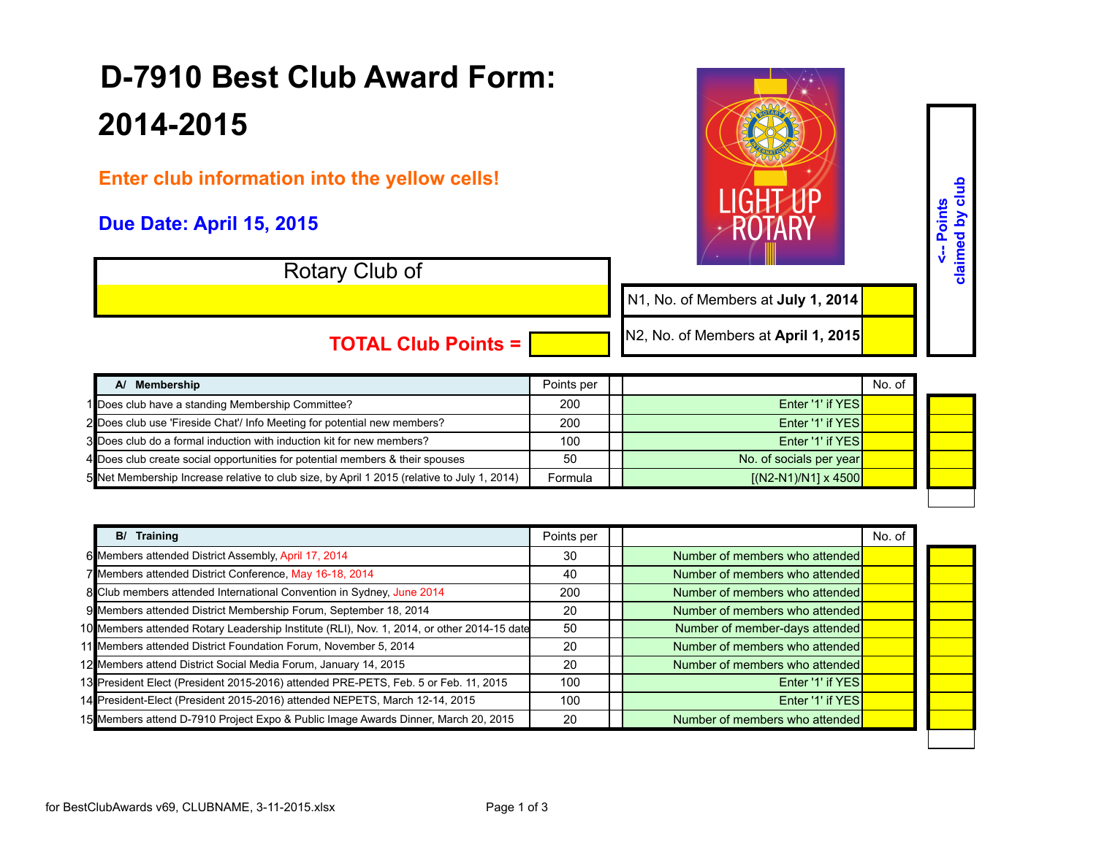## **D-7910 Best Club Award Form: 2014-2015**

**Enter club information into the yellow cells!** 

## **Due Date: April 15, 2015**

Rotary Club of



**<-- Points claimed by club**

<-- Points<br>claimed by club

N1, No. of Members at **July 1, 2014**

**TOTAL Club Points =** 

N2, No. of Members at **April 1, 2015**

| A/ Membership                                                                               | Points per |                             | No. of |  |
|---------------------------------------------------------------------------------------------|------------|-----------------------------|--------|--|
| 1 Does club have a standing Membership Committee?                                           | 200        | Enter '1' if YESI           |        |  |
| 2 Does club use 'Fireside Chat'/ Info Meeting for potential new members?                    | 200        | Enter '1' if YES            |        |  |
| 3 Does club do a formal induction with induction kit for new members?                       | 100        | Enter '1' if YESI           |        |  |
| 4 Does club create social opportunities for potential members & their spouses               | 50         | No. of socials per year     |        |  |
| 5 Net Membership Increase relative to club size, by April 1 2015 (relative to July 1, 2014) | Formula    | $[(N2-N1)/N1] \times 4500]$ |        |  |

| <b>B/ Training</b>                                                                         | Points per |                                | No. of |  |
|--------------------------------------------------------------------------------------------|------------|--------------------------------|--------|--|
| 6 Members attended District Assembly, April 17, 2014                                       | 30         | Number of members who attended |        |  |
| 7 Members attended District Conference, May 16-18, 2014                                    | -40        | Number of members who attended |        |  |
| 8 Club members attended International Convention in Sydney, June 2014                      | 200        | Number of members who attended |        |  |
| 9 Members attended District Membership Forum, September 18, 2014                           | 20         | Number of members who attended |        |  |
| 10 Members attended Rotary Leadership Institute (RLI), Nov. 1, 2014, or other 2014-15 date | 50         | Number of member-days attended |        |  |
| 11 Members attended District Foundation Forum, November 5, 2014                            | 20         | Number of members who attended |        |  |
| 12 Members attend District Social Media Forum, January 14, 2015                            | 20         | Number of members who attended |        |  |
| 13 President Elect (President 2015-2016) attended PRE-PETS, Feb. 5 or Feb. 11, 2015        | 100        | Enter '1' if YES               |        |  |
| 14 President-Elect (President 2015-2016) attended NEPETS, March 12-14, 2015                | 100        | Enter '1' if YES               |        |  |
| 15 Members attend D-7910 Project Expo & Public Image Awards Dinner, March 20, 2015         | 20         | Number of members who attended |        |  |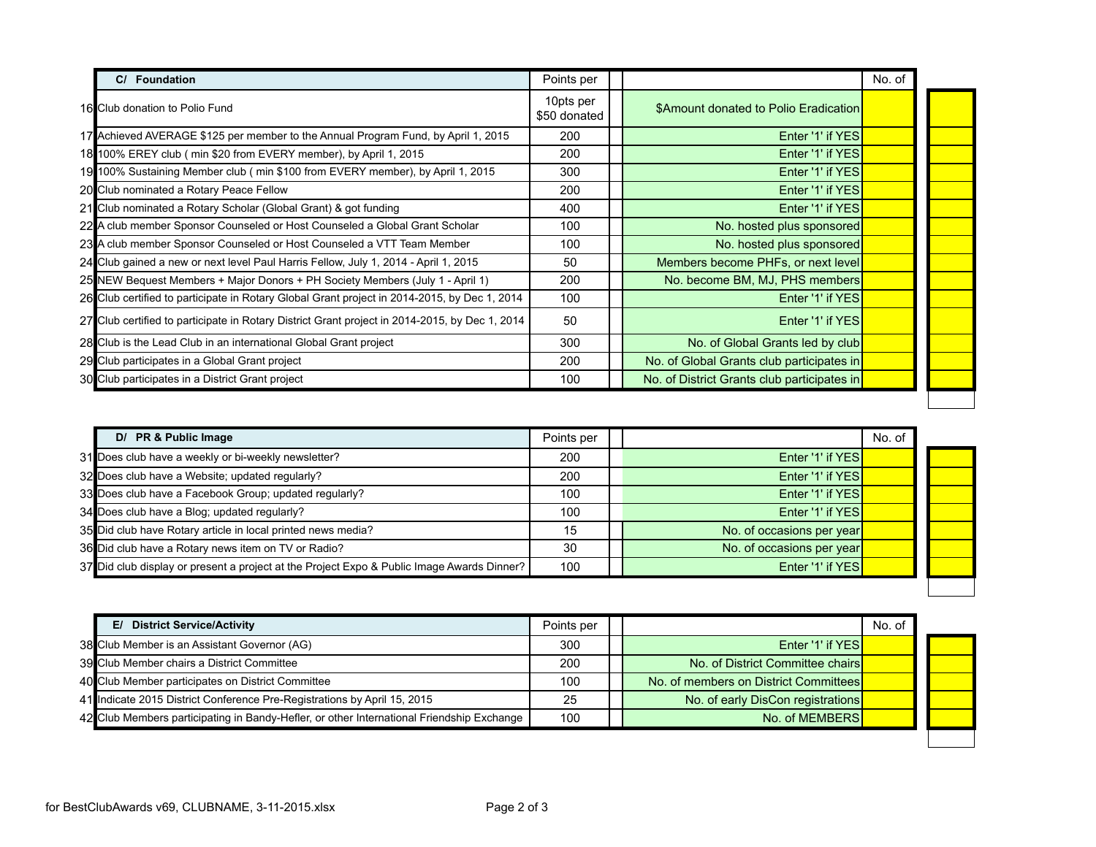| <b>Foundation</b>                                                                              | Points per                |                                             | No. of |  |
|------------------------------------------------------------------------------------------------|---------------------------|---------------------------------------------|--------|--|
| 16 Club donation to Polio Fund                                                                 | 10pts per<br>\$50 donated | \$Amount donated to Polio Eradication       |        |  |
| 17 Achieved AVERAGE \$125 per member to the Annual Program Fund, by April 1, 2015              | 200                       | Enter '1' if YES                            |        |  |
| 18 100% EREY club (min \$20 from EVERY member), by April 1, 2015                               | 200                       | Enter '1' if YES                            |        |  |
| 19 100% Sustaining Member club (min \$100 from EVERY member), by April 1, 2015                 | 300                       | Enter '1' if YES                            |        |  |
| 20 Club nominated a Rotary Peace Fellow                                                        | 200                       | Enter '1' if YES                            |        |  |
| 21 Club nominated a Rotary Scholar (Global Grant) & got funding                                | 400                       | Enter '1' if YES                            |        |  |
| 22 A club member Sponsor Counseled or Host Counseled a Global Grant Scholar                    | 100                       | No. hosted plus sponsored                   |        |  |
| 23 A club member Sponsor Counseled or Host Counseled a VTT Team Member                         | 100                       | No. hosted plus sponsored                   |        |  |
| 24 Club gained a new or next level Paul Harris Fellow, July 1, 2014 - April 1, 2015            | 50                        | Members become PHFs, or next level          |        |  |
| 25 NEW Bequest Members + Major Donors + PH Society Members (July 1 - April 1)                  | 200                       | No. become BM, MJ, PHS members              |        |  |
| 26 Club certified to participate in Rotary Global Grant project in 2014-2015, by Dec 1, 2014   | 100                       | Enter '1' if YES                            |        |  |
| 27 Club certified to participate in Rotary District Grant project in 2014-2015, by Dec 1, 2014 | 50                        | Enter '1' if YES                            |        |  |
| 28 Club is the Lead Club in an international Global Grant project                              | 300                       | No. of Global Grants led by club            |        |  |
| 29 Club participates in a Global Grant project                                                 | 200                       | No. of Global Grants club participates in   |        |  |
| 30 Club participates in a District Grant project                                               | 100                       | No. of District Grants club participates in |        |  |

| D/ PR & Public Image                                                                       | Points per |                           | No. of |
|--------------------------------------------------------------------------------------------|------------|---------------------------|--------|
| 31 Does club have a weekly or bi-weekly newsletter?                                        | 200        | Enter '1' if YES          |        |
| 32 Does club have a Website; updated regularly?                                            | 200        | Enter '1' if YES          |        |
| 33 Does club have a Facebook Group; updated regularly?                                     | 100        | Enter '1' if YES          |        |
| 34 Does club have a Blog; updated regularly?                                               | 100        | Enter '1' if YES          |        |
| 35 Did club have Rotary article in local printed news media?                               | 15         | No. of occasions per year |        |
| 36 Did club have a Rotary news item on TV or Radio?                                        | 30         | No. of occasions per year |        |
| 37 Did club display or present a project at the Project Expo & Public Image Awards Dinner? | 100        | Enter '1' if YES          |        |

| E/ District Service/Activity                                                              | Points per |                                       | No. of |  |
|-------------------------------------------------------------------------------------------|------------|---------------------------------------|--------|--|
| 38 Club Member is an Assistant Governor (AG)                                              | 300        | Enter '1' if YES                      |        |  |
| 39 Club Member chairs a District Committee                                                | 200        | No. of District Committee chairs      |        |  |
| 40 Club Member participates on District Committee                                         | 100        | No. of members on District Committees |        |  |
| 41 Indicate 2015 District Conference Pre-Registrations by April 15, 2015                  | 25         | No. of early DisCon registrations     |        |  |
| 42 Club Members participating in Bandy-Hefler, or other International Friendship Exchange | 100        | No. of MEMBERS                        |        |  |